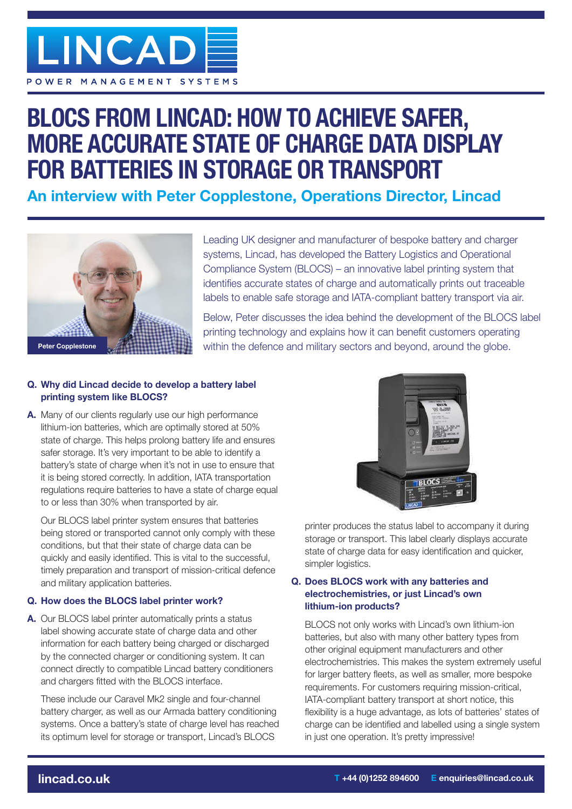

# **BLOCS FROM LINCAD: HOW TO ACHIEVE SAFER, MORE ACCURATE STATE OF CHARGE DATA DISPLAY FOR BATTERIES IN STORAGE OR TRANSPORT**

**An interview with Peter Copplestone, Operations Director, Lincad**



Leading UK designer and manufacturer of bespoke battery and charger systems, Lincad, has developed the Battery Logistics and Operational Compliance System (BLOCS) – an innovative label printing system that identifies accurate states of charge and automatically prints out traceable labels to enable safe storage and IATA-compliant battery transport via air.

Below, Peter discusses the idea behind the development of the BLOCS label printing technology and explains how it can benefit customers operating within the defence and military sectors and beyond, around the globe.

## **Q. Why did Lincad decide to develop a battery label printing system like BLOCS?**

**A.** Many of our clients regularly use our high performance lithium-ion batteries, which are optimally stored at 50% state of charge. This helps prolong battery life and ensures safer storage. It's very important to be able to identify a battery's state of charge when it's not in use to ensure that it is being stored correctly. In addition, IATA transportation regulations require batteries to have a state of charge equal to or less than 30% when transported by air.

 Our BLOCS label printer system ensures that batteries being stored or transported cannot only comply with these conditions, but that their state of charge data can be quickly and easily identified. This is vital to the successful, timely preparation and transport of mission-critical defence and military application batteries.

## **Q. How does the BLOCS label printer work?**

**A.** Our BLOCS label printer automatically prints a status label showing accurate state of charge data and other information for each battery being charged or discharged by the connected charger or conditioning system. It can connect directly to compatible Lincad battery conditioners and chargers fitted with the BLOCS interface.

 These include our Caravel Mk2 single and four-channel battery charger, as well as our Armada battery conditioning systems. Once a battery's state of charge level has reached its optimum level for storage or transport, Lincad's BLOCS



printer produces the status label to accompany it during storage or transport. This label clearly displays accurate state of charge data for easy identification and quicker, simpler logistics.

### **Q. Does BLOCS work with any batteries and electrochemistries, or just Lincad's own lithium-ion products?**

 BLOCS not only works with Lincad's own lithium-ion batteries, but also with many other battery types from other original equipment manufacturers and other electrochemistries. This makes the system extremely useful for larger battery fleets, as well as smaller, more bespoke requirements. For customers requiring mission-critical, IATA-compliant battery transport at short notice, this flexibility is a huge advantage, as lots of batteries' states of charge can be identified and labelled using a single system in just one operation. It's pretty impressive!